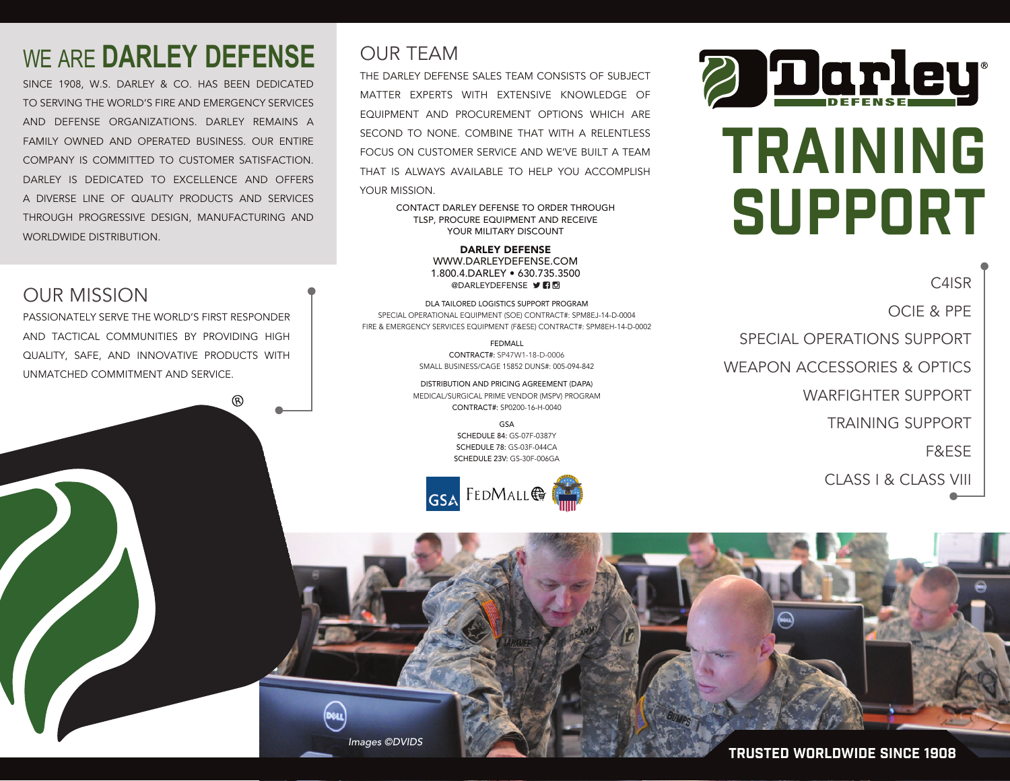### WE ARE **DARLEY DEFENSE**

SINCE 1908, W.S. DARLEY & CO. HAS BEEN DEDICATED TO SERVING THE WORLD'S FIRE AND EMERGENCY SERVICES AND DEFENSE ORGANIZATIONS. DARLEY REMAINS A FAMILY OWNED AND OPERATED BUSINESS. OUR ENTIRE COMPANY IS COMMITTED TO CUSTOMER SATISFACTION. DARLEY IS DEDICATED TO EXCELLENCE AND OFFERS A DIVERSE LINE OF QUALITY PRODUCTS AND SERVICES THROUGH PROGRESSIVE DESIGN, MANUFACTURING AND WORLDWIDE DISTRIBUTION.

#### OUR MISSION

PASSIONATELY SERVE THE WORLD'S FIRST RESPONDER AND TACTICAL COMMUNITIES BY PROVIDING HIGH QUALITY, SAFE, AND INNOVATIVE PRODUCTS WITH UNMATCHED COMMITMENT AND SERVICE.

൫

#### OUR TEAM

THE DARLEY DEFENSE SALES TEAM CONSISTS OF SUBJECT MATTER EXPERTS WITH EXTENSIVE KNOWLEDGE OF EQUIPMENT AND PROCUREMENT OPTIONS WHICH ARE SECOND TO NONE. COMBINE THAT WITH A RELENTLESS FOCUS ON CUSTOMER SERVICE AND WE'VE BUILT A TEAM THAT IS ALWAYS AVAILABLE TO HELP YOU ACCOMPLISH YOUR MISSION.

> CONTACT DARLEY DEFENSE TO ORDER THROUGH TLSP, PROCURE EQUIPMENT AND RECEIVE YOUR MILITARY DISCOUNT

> > DARLEY DEFENSE WWW.DARLEYDEFENSE.COM 1.800.4.DARLEY • 630.735.3500 **@DARLEYDEFENSE DRI**

DLA TAILORED LOGISTICS SUPPORT PROGRAM SPECIAL OPERATIONAL EQUIPMENT (SOE) CONTRACT#: SPM8EJ-14-D-0004 FIRE & EMERGENCY SERVICES EQUIPMENT (F&ESE) CONTRACT#: SPM8EH-14-D-0002

> FEDMALL CONTRACT#: SP47W1-18-D-0006 SMALL BUSINESS/CAGE 15852 DUNS#: 005-094-842

DISTRIBUTION AND PRICING AGREEMENT (DAPA) MEDICAL/SURGICAL PRIME VENDOR (MSPV) PROGRAM CONTRACT#: SP0200-16-H-0040

> GSA SCHEDULE 84: GS-07F-0387Y SCHEDULE 78: GS-03F-044CA SCHEDULE 23V: GS-30F-006GA





## TRAINING SUPPORT

C4ISR OCIE & PPE SPECIAL OPERATIONS SUPPORT WEAPON ACCESSORIES & OPTICS WARFIGHTER SUPPORT TRAINING SUPPORT F&ESE CLASS I & CLASS VIII